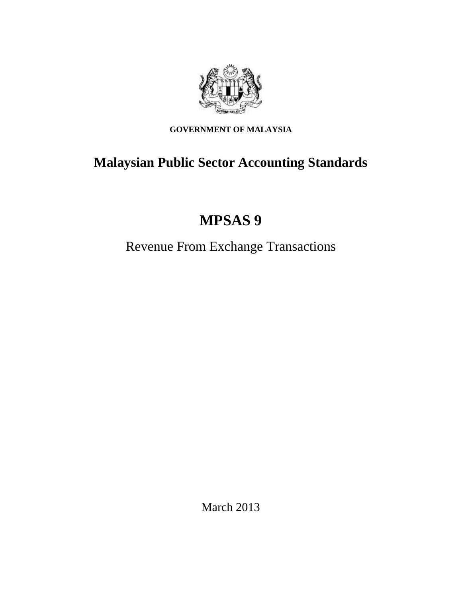

**GOVERNMENT OF MALAYSIA**

## **Malaysian Public Sector Accounting Standards**

# **MPSAS 9**

Revenue From Exchange Transactions

March 2013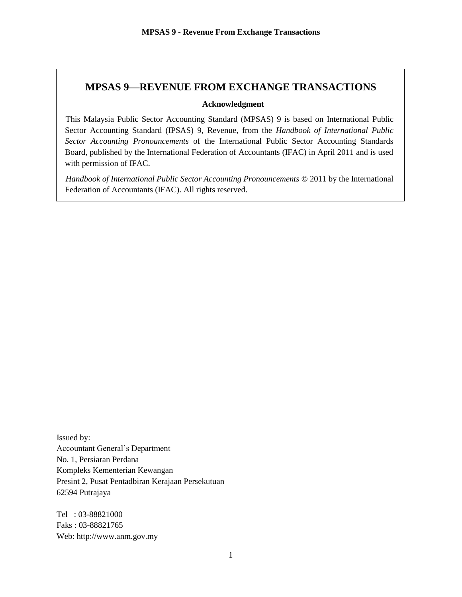## **MPSAS 9—REVENUE FROM EXCHANGE TRANSACTIONS**

#### **Acknowledgment**

This Malaysia Public Sector Accounting Standard (MPSAS) 9 is based on International Public Sector Accounting Standard (IPSAS) 9, Revenue, from the *Handbook of International Public Sector Accounting Pronouncements* of the International Public Sector Accounting Standards Board, published by the International Federation of Accountants (IFAC) in April 2011 and is used with permission of IFAC.

*Handbook of International Public Sector Accounting Pronouncements* © 2011 by the International Federation of Accountants (IFAC). All rights reserved.

Issued by: Accountant General's Department No. 1, Persiaran Perdana Kompleks Kementerian Kewangan Presint 2, Pusat Pentadbiran Kerajaan Persekutuan 62594 Putrajaya

Tel : 03-88821000 Faks : 03-88821765 Web: http://www.anm.gov.my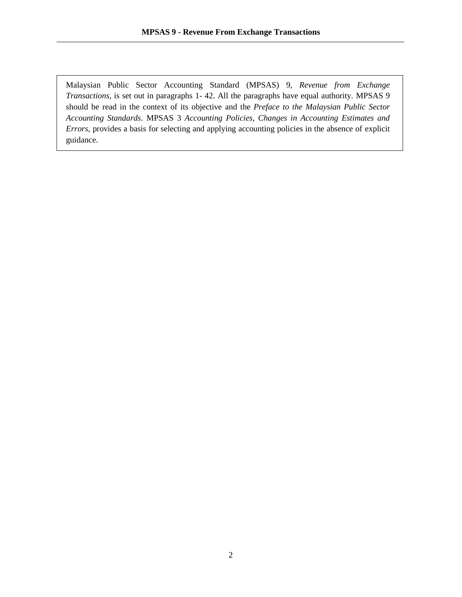Malaysian Public Sector Accounting Standard (MPSAS) 9, *Revenue from Exchange Transactions,* is set out in paragraphs 1- 42. All the paragraphs have equal authority. MPSAS 9 should be read in the context of its objective and the *Preface to the Malaysian Public Sector Accounting Standards*. MPSAS 3 *Accounting Policies, Changes in Accounting Estimates and Errors*, provides a basis for selecting and applying accounting policies in the absence of explicit guidance.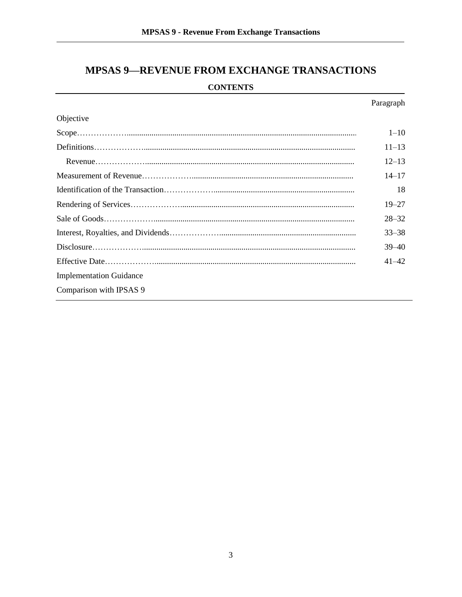## **MPSAS 9-REVENUE FROM EXCHANGE TRANSACTIONS CONTENTS**

|                                | Paragraph |
|--------------------------------|-----------|
| Objective                      |           |
|                                | $1 - 10$  |
|                                | $11 - 13$ |
|                                | $12 - 13$ |
|                                | $14 - 17$ |
|                                | 18        |
|                                | $19 - 27$ |
|                                | $28 - 32$ |
|                                | $33 - 38$ |
|                                | $39 - 40$ |
|                                | $41 - 42$ |
| <b>Implementation Guidance</b> |           |
| Comparison with IPSAS 9        |           |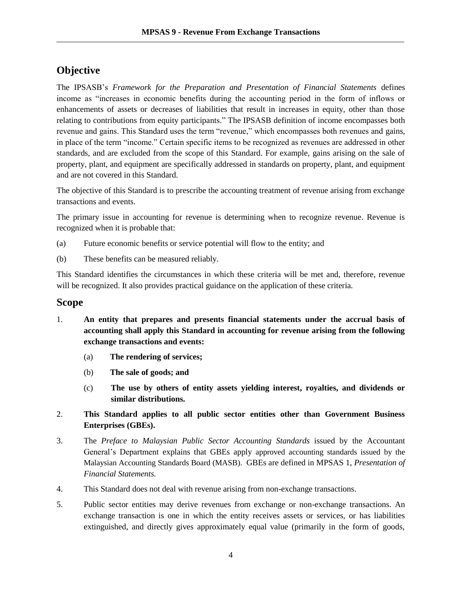## **Objective**

The IPSASB's *Framework for the Preparation and Presentation of Financial Statements* defines income as "increases in economic benefits during the accounting period in the form of inflows or enhancements of assets or decreases of liabilities that result in increases in equity, other than those relating to contributions from equity participants." The IPSASB definition of income encompasses both revenue and gains. This Standard uses the term "revenue," which encompasses both revenues and gains, in place of the term "income." Certain specific items to be recognized as revenues are addressed in other standards, and are excluded from the scope of this Standard. For example, gains arising on the sale of property, plant, and equipment are specifically addressed in standards on property, plant, and equipment and are not covered in this Standard.

The objective of this Standard is to prescribe the accounting treatment of revenue arising from exchange transactions and events.

The primary issue in accounting for revenue is determining when to recognize revenue. Revenue is recognized when it is probable that:

- (a) Future economic benefits or service potential will flow to the entity; and
- (b) These benefits can be measured reliably.

This Standard identifies the circumstances in which these criteria will be met and, therefore, revenue will be recognized. It also provides practical guidance on the application of these criteria.

### **Scope**

- 1. **An entity that prepares and presents financial statements under the accrual basis of accounting shall apply this Standard in accounting for revenue arising from the following exchange transactions and events:** 
	- (a) **The rendering of services;**
	- (b) **The sale of goods; and**
	- (c) **The use by others of entity assets yielding interest, royalties, and dividends or similar distributions.**
- 2. **This Standard applies to all public sector entities other than Government Business Enterprises (GBEs).**
- 3. The *Preface to Malaysian Public Sector Accounting Standards* issued by the Accountant General's Department explains that GBEs apply approved accounting standards issued by the Malaysian Accounting Standards Board (MASB). GBEs are defined in MPSAS 1, *Presentation of Financial Statements.*
- 4. This Standard does not deal with revenue arising from non-exchange transactions.
- 5. Public sector entities may derive revenues from exchange or non-exchange transactions. An exchange transaction is one in which the entity receives assets or services, or has liabilities extinguished, and directly gives approximately equal value (primarily in the form of goods,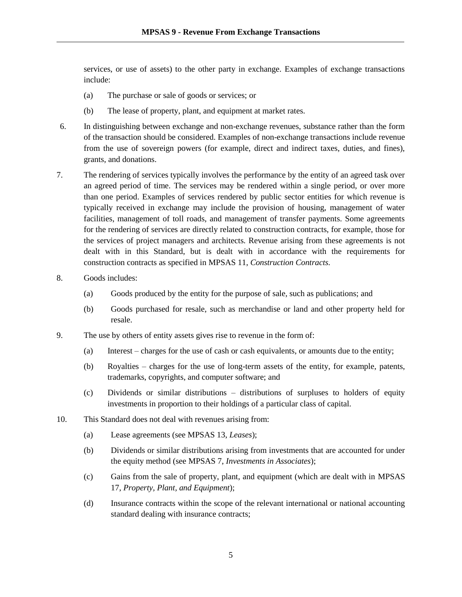services, or use of assets) to the other party in exchange. Examples of exchange transactions include:

- (a) The purchase or sale of goods or services; or
- (b) The lease of property, plant, and equipment at market rates.
- 6. In distinguishing between exchange and non-exchange revenues, substance rather than the form of the transaction should be considered. Examples of non-exchange transactions include revenue from the use of sovereign powers (for example, direct and indirect taxes, duties, and fines), grants, and donations.
- 7. The rendering of services typically involves the performance by the entity of an agreed task over an agreed period of time. The services may be rendered within a single period, or over more than one period. Examples of services rendered by public sector entities for which revenue is typically received in exchange may include the provision of housing, management of water facilities, management of toll roads, and management of transfer payments. Some agreements for the rendering of services are directly related to construction contracts, for example, those for the services of project managers and architects. Revenue arising from these agreements is not dealt with in this Standard, but is dealt with in accordance with the requirements for construction contracts as specified in MPSAS 11, *Construction Contracts.*
- 8. Goods includes:
	- (a) Goods produced by the entity for the purpose of sale, such as publications; and
	- (b) Goods purchased for resale, such as merchandise or land and other property held for resale.
- 9. The use by others of entity assets gives rise to revenue in the form of:
	- (a) Interest charges for the use of cash or cash equivalents, or amounts due to the entity;
	- (b) Royalties charges for the use of long-term assets of the entity, for example, patents, trademarks, copyrights, and computer software; and
	- (c) Dividends or similar distributions distributions of surpluses to holders of equity investments in proportion to their holdings of a particular class of capital.
- 10. This Standard does not deal with revenues arising from:
	- (a) Lease agreements (see MPSAS 13, *Leases*);
	- (b) Dividends or similar distributions arising from investments that are accounted for under the equity method (see MPSAS 7, *Investments in Associates*);
	- (c) Gains from the sale of property, plant, and equipment (which are dealt with in MPSAS 17, *Property, Plant, and Equipment*);
	- (d) Insurance contracts within the scope of the relevant international or national accounting standard dealing with insurance contracts;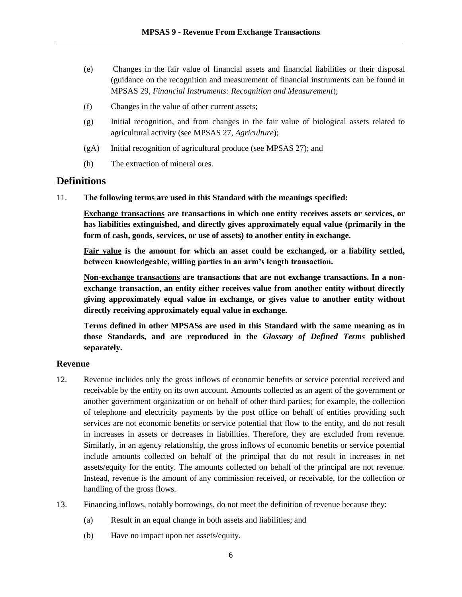- (e) Changes in the fair value of financial assets and financial liabilities or their disposal (guidance on the recognition and measurement of financial instruments can be found in MPSAS 29, *Financial Instruments: Recognition and Measurement*);
- (f) Changes in the value of other current assets;
- (g) Initial recognition, and from changes in the fair value of biological assets related to agricultural activity (see MPSAS 27, *Agriculture*);
- (gA) Initial recognition of agricultural produce (see MPSAS 27); and
- (h) The extraction of mineral ores.

### **Definitions**

11. **The following terms are used in this Standard with the meanings specified:** 

**Exchange transactions are transactions in which one entity receives assets or services, or has liabilities extinguished, and directly gives approximately equal value (primarily in the form of cash, goods, services, or use of assets) to another entity in exchange.** 

**Fair value is the amount for which an asset could be exchanged, or a liability settled, between knowledgeable, willing parties in an arm's length transaction.** 

**Non-exchange transactions are transactions that are not exchange transactions. In a nonexchange transaction, an entity either receives value from another entity without directly giving approximately equal value in exchange, or gives value to another entity without directly receiving approximately equal value in exchange.** 

**Terms defined in other MPSASs are used in this Standard with the same meaning as in those Standards, and are reproduced in the** *Glossary of Defined Terms* **published separately.** 

#### **Revenue**

- 12. Revenue includes only the gross inflows of economic benefits or service potential received and receivable by the entity on its own account. Amounts collected as an agent of the government or another government organization or on behalf of other third parties; for example, the collection of telephone and electricity payments by the post office on behalf of entities providing such services are not economic benefits or service potential that flow to the entity, and do not result in increases in assets or decreases in liabilities. Therefore, they are excluded from revenue. Similarly, in an agency relationship, the gross inflows of economic benefits or service potential include amounts collected on behalf of the principal that do not result in increases in net assets/equity for the entity. The amounts collected on behalf of the principal are not revenue. Instead, revenue is the amount of any commission received, or receivable, for the collection or handling of the gross flows.
- 13. Financing inflows, notably borrowings, do not meet the definition of revenue because they:
	- (a) Result in an equal change in both assets and liabilities; and
	- (b) Have no impact upon net assets/equity.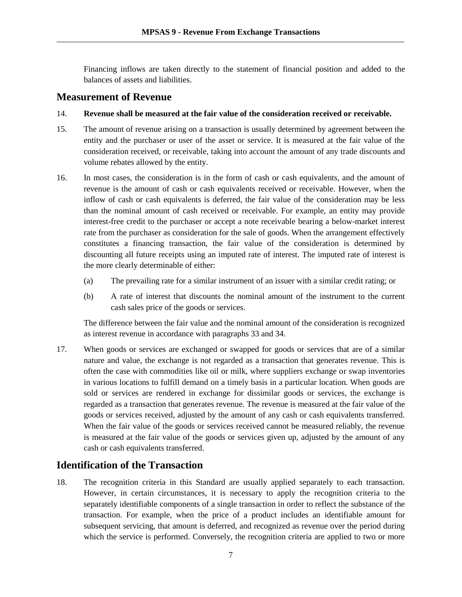Financing inflows are taken directly to the statement of financial position and added to the balances of assets and liabilities.

## **Measurement of Revenue**

#### 14. **Revenue shall be measured at the fair value of the consideration received or receivable.**

- 15. The amount of revenue arising on a transaction is usually determined by agreement between the entity and the purchaser or user of the asset or service. It is measured at the fair value of the consideration received, or receivable, taking into account the amount of any trade discounts and volume rebates allowed by the entity.
- 16. In most cases, the consideration is in the form of cash or cash equivalents, and the amount of revenue is the amount of cash or cash equivalents received or receivable. However, when the inflow of cash or cash equivalents is deferred, the fair value of the consideration may be less than the nominal amount of cash received or receivable. For example, an entity may provide interest-free credit to the purchaser or accept a note receivable bearing a below-market interest rate from the purchaser as consideration for the sale of goods. When the arrangement effectively constitutes a financing transaction, the fair value of the consideration is determined by discounting all future receipts using an imputed rate of interest. The imputed rate of interest is the more clearly determinable of either:
	- (a) The prevailing rate for a similar instrument of an issuer with a similar credit rating; or
	- (b) A rate of interest that discounts the nominal amount of the instrument to the current cash sales price of the goods or services.

The difference between the fair value and the nominal amount of the consideration is recognized as interest revenue in accordance with paragraphs 33 and 34.

17. When goods or services are exchanged or swapped for goods or services that are of a similar nature and value, the exchange is not regarded as a transaction that generates revenue. This is often the case with commodities like oil or milk, where suppliers exchange or swap inventories in various locations to fulfill demand on a timely basis in a particular location. When goods are sold or services are rendered in exchange for dissimilar goods or services, the exchange is regarded as a transaction that generates revenue. The revenue is measured at the fair value of the goods or services received, adjusted by the amount of any cash or cash equivalents transferred. When the fair value of the goods or services received cannot be measured reliably, the revenue is measured at the fair value of the goods or services given up, adjusted by the amount of any cash or cash equivalents transferred.

## **Identification of the Transaction**

18. The recognition criteria in this Standard are usually applied separately to each transaction. However, in certain circumstances, it is necessary to apply the recognition criteria to the separately identifiable components of a single transaction in order to reflect the substance of the transaction. For example, when the price of a product includes an identifiable amount for subsequent servicing, that amount is deferred, and recognized as revenue over the period during which the service is performed. Conversely, the recognition criteria are applied to two or more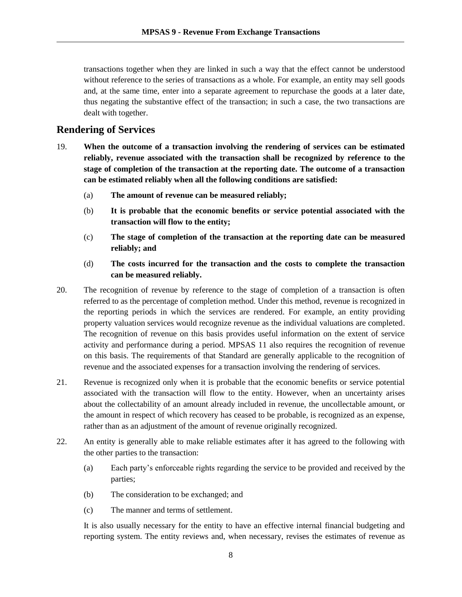transactions together when they are linked in such a way that the effect cannot be understood without reference to the series of transactions as a whole. For example, an entity may sell goods and, at the same time, enter into a separate agreement to repurchase the goods at a later date, thus negating the substantive effect of the transaction; in such a case, the two transactions are dealt with together.

## **Rendering of Services**

- 19. **When the outcome of a transaction involving the rendering of services can be estimated reliably, revenue associated with the transaction shall be recognized by reference to the stage of completion of the transaction at the reporting date. The outcome of a transaction can be estimated reliably when all the following conditions are satisfied:** 
	- (a) **The amount of revenue can be measured reliably;**
	- (b) **It is probable that the economic benefits or service potential associated with the transaction will flow to the entity;**
	- (c) **The stage of completion of the transaction at the reporting date can be measured reliably; and**
	- (d) **The costs incurred for the transaction and the costs to complete the transaction can be measured reliably.**
- 20. The recognition of revenue by reference to the stage of completion of a transaction is often referred to as the percentage of completion method. Under this method, revenue is recognized in the reporting periods in which the services are rendered. For example, an entity providing property valuation services would recognize revenue as the individual valuations are completed. The recognition of revenue on this basis provides useful information on the extent of service activity and performance during a period. MPSAS 11 also requires the recognition of revenue on this basis. The requirements of that Standard are generally applicable to the recognition of revenue and the associated expenses for a transaction involving the rendering of services.
- 21. Revenue is recognized only when it is probable that the economic benefits or service potential associated with the transaction will flow to the entity. However, when an uncertainty arises about the collectability of an amount already included in revenue, the uncollectable amount, or the amount in respect of which recovery has ceased to be probable, is recognized as an expense, rather than as an adjustment of the amount of revenue originally recognized.
- 22. An entity is generally able to make reliable estimates after it has agreed to the following with the other parties to the transaction:
	- (a) Each party's enforceable rights regarding the service to be provided and received by the parties;
	- (b) The consideration to be exchanged; and
	- (c) The manner and terms of settlement.

It is also usually necessary for the entity to have an effective internal financial budgeting and reporting system. The entity reviews and, when necessary, revises the estimates of revenue as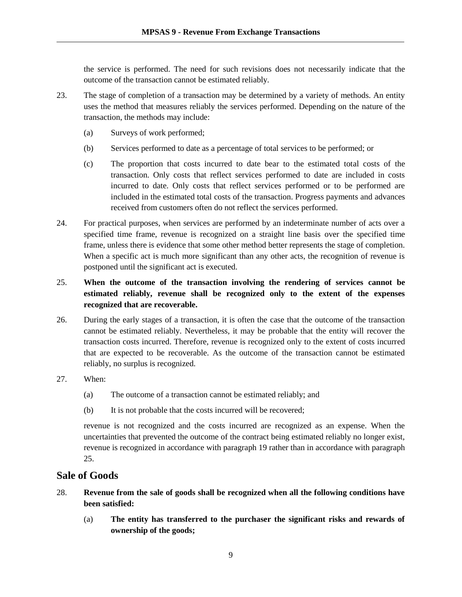the service is performed. The need for such revisions does not necessarily indicate that the outcome of the transaction cannot be estimated reliably.

- 23. The stage of completion of a transaction may be determined by a variety of methods. An entity uses the method that measures reliably the services performed. Depending on the nature of the transaction, the methods may include:
	- (a) Surveys of work performed;
	- (b) Services performed to date as a percentage of total services to be performed; or
	- (c) The proportion that costs incurred to date bear to the estimated total costs of the transaction. Only costs that reflect services performed to date are included in costs incurred to date. Only costs that reflect services performed or to be performed are included in the estimated total costs of the transaction. Progress payments and advances received from customers often do not reflect the services performed.
- 24. For practical purposes, when services are performed by an indeterminate number of acts over a specified time frame, revenue is recognized on a straight line basis over the specified time frame, unless there is evidence that some other method better represents the stage of completion. When a specific act is much more significant than any other acts, the recognition of revenue is postponed until the significant act is executed.

## 25. **When the outcome of the transaction involving the rendering of services cannot be estimated reliably, revenue shall be recognized only to the extent of the expenses recognized that are recoverable.**

- 26. During the early stages of a transaction, it is often the case that the outcome of the transaction cannot be estimated reliably. Nevertheless, it may be probable that the entity will recover the transaction costs incurred. Therefore, revenue is recognized only to the extent of costs incurred that are expected to be recoverable. As the outcome of the transaction cannot be estimated reliably, no surplus is recognized.
- 27. When:
	- (a) The outcome of a transaction cannot be estimated reliably; and
	- (b) It is not probable that the costs incurred will be recovered;

revenue is not recognized and the costs incurred are recognized as an expense. When the uncertainties that prevented the outcome of the contract being estimated reliably no longer exist, revenue is recognized in accordance with paragraph 19 rather than in accordance with paragraph 25.

## **Sale of Goods**

- 28. **Revenue from the sale of goods shall be recognized when all the following conditions have been satisfied:** 
	- (a) **The entity has transferred to the purchaser the significant risks and rewards of ownership of the goods;**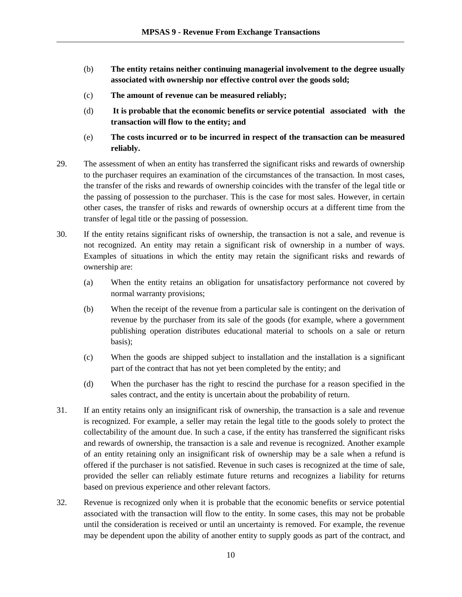- (b) **The entity retains neither continuing managerial involvement to the degree usually associated with ownership nor effective control over the goods sold;**
- (c) **The amount of revenue can be measured reliably;**
- (d) **It is probable that the economic benefits or service potential associated with the transaction will flow to the entity; and**
- (e) **The costs incurred or to be incurred in respect of the transaction can be measured reliably.**
- 29. The assessment of when an entity has transferred the significant risks and rewards of ownership to the purchaser requires an examination of the circumstances of the transaction. In most cases, the transfer of the risks and rewards of ownership coincides with the transfer of the legal title or the passing of possession to the purchaser. This is the case for most sales. However, in certain other cases, the transfer of risks and rewards of ownership occurs at a different time from the transfer of legal title or the passing of possession.
- 30. If the entity retains significant risks of ownership, the transaction is not a sale, and revenue is not recognized. An entity may retain a significant risk of ownership in a number of ways. Examples of situations in which the entity may retain the significant risks and rewards of ownership are:
	- (a) When the entity retains an obligation for unsatisfactory performance not covered by normal warranty provisions;
	- (b) When the receipt of the revenue from a particular sale is contingent on the derivation of revenue by the purchaser from its sale of the goods (for example, where a government publishing operation distributes educational material to schools on a sale or return basis);
	- (c) When the goods are shipped subject to installation and the installation is a significant part of the contract that has not yet been completed by the entity; and
	- (d) When the purchaser has the right to rescind the purchase for a reason specified in the sales contract, and the entity is uncertain about the probability of return.
- 31. If an entity retains only an insignificant risk of ownership, the transaction is a sale and revenue is recognized. For example, a seller may retain the legal title to the goods solely to protect the collectability of the amount due. In such a case, if the entity has transferred the significant risks and rewards of ownership, the transaction is a sale and revenue is recognized. Another example of an entity retaining only an insignificant risk of ownership may be a sale when a refund is offered if the purchaser is not satisfied. Revenue in such cases is recognized at the time of sale, provided the seller can reliably estimate future returns and recognizes a liability for returns based on previous experience and other relevant factors.
- 32. Revenue is recognized only when it is probable that the economic benefits or service potential associated with the transaction will flow to the entity. In some cases, this may not be probable until the consideration is received or until an uncertainty is removed. For example, the revenue may be dependent upon the ability of another entity to supply goods as part of the contract, and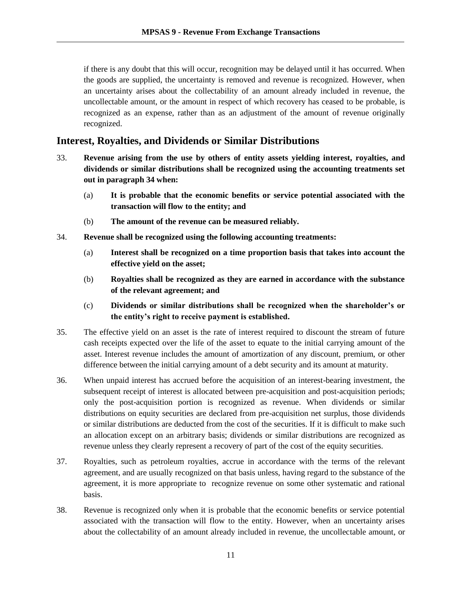if there is any doubt that this will occur, recognition may be delayed until it has occurred. When the goods are supplied, the uncertainty is removed and revenue is recognized. However, when an uncertainty arises about the collectability of an amount already included in revenue, the uncollectable amount, or the amount in respect of which recovery has ceased to be probable, is recognized as an expense, rather than as an adjustment of the amount of revenue originally recognized.

## **Interest, Royalties, and Dividends or Similar Distributions**

- 33. **Revenue arising from the use by others of entity assets yielding interest, royalties, and dividends or similar distributions shall be recognized using the accounting treatments set out in paragraph 34 when:** 
	- (a) **It is probable that the economic benefits or service potential associated with the transaction will flow to the entity; and**
	- (b) **The amount of the revenue can be measured reliably.**
- 34. **Revenue shall be recognized using the following accounting treatments:** 
	- (a) **Interest shall be recognized on a time proportion basis that takes into account the effective yield on the asset;**
	- (b) **Royalties shall be recognized as they are earned in accordance with the substance of the relevant agreement; and**
	- (c) **Dividends or similar distributions shall be recognized when the shareholder's or the entity's right to receive payment is established.**
- 35. The effective yield on an asset is the rate of interest required to discount the stream of future cash receipts expected over the life of the asset to equate to the initial carrying amount of the asset. Interest revenue includes the amount of amortization of any discount, premium, or other difference between the initial carrying amount of a debt security and its amount at maturity.
- 36. When unpaid interest has accrued before the acquisition of an interest-bearing investment, the subsequent receipt of interest is allocated between pre-acquisition and post-acquisition periods; only the post-acquisition portion is recognized as revenue. When dividends or similar distributions on equity securities are declared from pre-acquisition net surplus, those dividends or similar distributions are deducted from the cost of the securities. If it is difficult to make such an allocation except on an arbitrary basis; dividends or similar distributions are recognized as revenue unless they clearly represent a recovery of part of the cost of the equity securities.
- 37. Royalties, such as petroleum royalties, accrue in accordance with the terms of the relevant agreement, and are usually recognized on that basis unless, having regard to the substance of the agreement, it is more appropriate to recognize revenue on some other systematic and rational basis.
- 38. Revenue is recognized only when it is probable that the economic benefits or service potential associated with the transaction will flow to the entity. However, when an uncertainty arises about the collectability of an amount already included in revenue, the uncollectable amount, or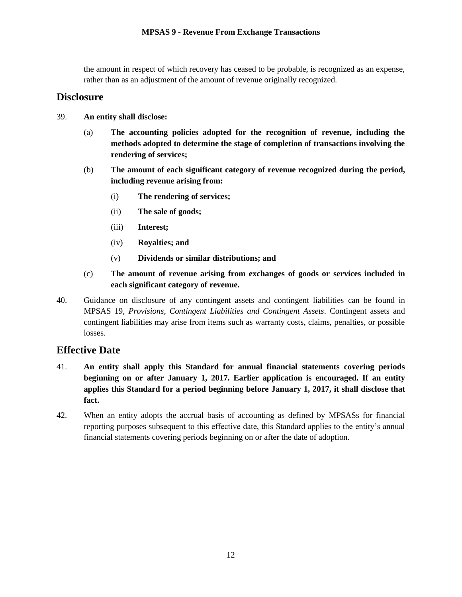the amount in respect of which recovery has ceased to be probable, is recognized as an expense, rather than as an adjustment of the amount of revenue originally recognized.

## **Disclosure**

- 39. **An entity shall disclose:** 
	- (a) **The accounting policies adopted for the recognition of revenue, including the methods adopted to determine the stage of completion of transactions involving the rendering of services;**
	- (b) **The amount of each significant category of revenue recognized during the period, including revenue arising from:** 
		- (i) **The rendering of services;**
		- (ii) **The sale of goods;**
		- (iii) **Interest;**
		- (iv) **Royalties; and**
		- (v) **Dividends or similar distributions; and**
	- (c) **The amount of revenue arising from exchanges of goods or services included in each significant category of revenue.**
- 40. Guidance on disclosure of any contingent assets and contingent liabilities can be found in MPSAS 19, *Provisions, Contingent Liabilities and Contingent Assets*. Contingent assets and contingent liabilities may arise from items such as warranty costs, claims, penalties, or possible losses.

## **Effective Date**

- 41. **An entity shall apply this Standard for annual financial statements covering periods beginning on or after January 1, 2017. Earlier application is encouraged. If an entity applies this Standard for a period beginning before January 1, 2017, it shall disclose that fact.**
- 42. When an entity adopts the accrual basis of accounting as defined by MPSASs for financial reporting purposes subsequent to this effective date, this Standard applies to the entity's annual financial statements covering periods beginning on or after the date of adoption.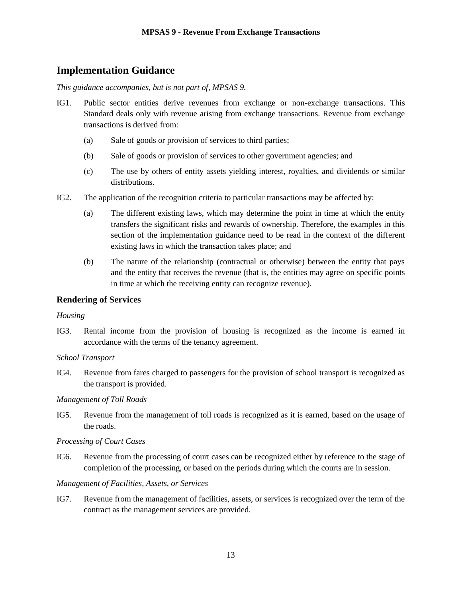## **Implementation Guidance**

*This guidance accompanies, but is not part of, MPSAS 9.* 

- IG1. Public sector entities derive revenues from exchange or non-exchange transactions. This Standard deals only with revenue arising from exchange transactions. Revenue from exchange transactions is derived from:
	- (a) Sale of goods or provision of services to third parties;
	- (b) Sale of goods or provision of services to other government agencies; and
	- (c) The use by others of entity assets yielding interest, royalties, and dividends or similar distributions.
- IG2. The application of the recognition criteria to particular transactions may be affected by:
	- (a) The different existing laws, which may determine the point in time at which the entity transfers the significant risks and rewards of ownership. Therefore, the examples in this section of the implementation guidance need to be read in the context of the different existing laws in which the transaction takes place; and
	- (b) The nature of the relationship (contractual or otherwise) between the entity that pays and the entity that receives the revenue (that is, the entities may agree on specific points in time at which the receiving entity can recognize revenue).

#### **Rendering of Services**

#### *Housing*

IG3. Rental income from the provision of housing is recognized as the income is earned in accordance with the terms of the tenancy agreement.

#### *School Transport*

IG4. Revenue from fares charged to passengers for the provision of school transport is recognized as the transport is provided.

#### *Management of Toll Roads*

IG5. Revenue from the management of toll roads is recognized as it is earned, based on the usage of the roads.

#### *Processing of Court Cases*

IG6. Revenue from the processing of court cases can be recognized either by reference to the stage of completion of the processing, or based on the periods during which the courts are in session.

#### *Management of Facilities, Assets, or Services*

IG7. Revenue from the management of facilities, assets, or services is recognized over the term of the contract as the management services are provided.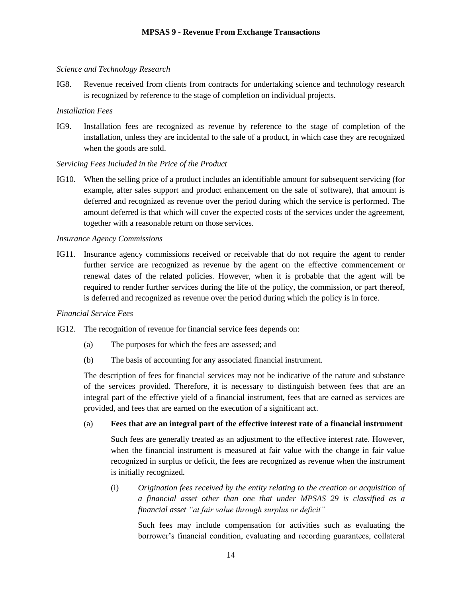#### *Science and Technology Research*

IG8. Revenue received from clients from contracts for undertaking science and technology research is recognized by reference to the stage of completion on individual projects.

#### *Installation Fees*

IG9. Installation fees are recognized as revenue by reference to the stage of completion of the installation, unless they are incidental to the sale of a product, in which case they are recognized when the goods are sold.

#### *Servicing Fees Included in the Price of the Product*

IG10. When the selling price of a product includes an identifiable amount for subsequent servicing (for example, after sales support and product enhancement on the sale of software), that amount is deferred and recognized as revenue over the period during which the service is performed. The amount deferred is that which will cover the expected costs of the services under the agreement, together with a reasonable return on those services.

#### *Insurance Agency Commissions*

IG11. Insurance agency commissions received or receivable that do not require the agent to render further service are recognized as revenue by the agent on the effective commencement or renewal dates of the related policies. However, when it is probable that the agent will be required to render further services during the life of the policy, the commission, or part thereof, is deferred and recognized as revenue over the period during which the policy is in force.

#### *Financial Service Fees*

- IG12. The recognition of revenue for financial service fees depends on:
	- (a) The purposes for which the fees are assessed; and
	- (b) The basis of accounting for any associated financial instrument.

The description of fees for financial services may not be indicative of the nature and substance of the services provided. Therefore, it is necessary to distinguish between fees that are an integral part of the effective yield of a financial instrument, fees that are earned as services are provided, and fees that are earned on the execution of a significant act.

#### (a) **Fees that are an integral part of the effective interest rate of a financial instrument**

Such fees are generally treated as an adjustment to the effective interest rate. However, when the financial instrument is measured at fair value with the change in fair value recognized in surplus or deficit, the fees are recognized as revenue when the instrument is initially recognized.

(i) *Origination fees received by the entity relating to the creation or acquisition of a financial asset other than one that under MPSAS 29 is classified as a financial asset "at fair value through surplus or deficit"* 

Such fees may include compensation for activities such as evaluating the borrower's financial condition, evaluating and recording guarantees, collateral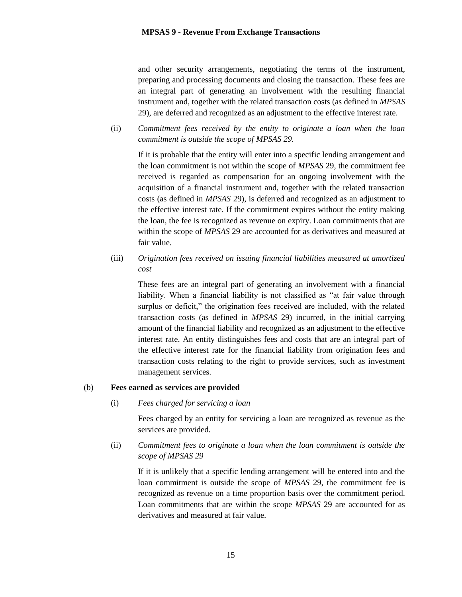and other security arrangements, negotiating the terms of the instrument, preparing and processing documents and closing the transaction. These fees are an integral part of generating an involvement with the resulting financial instrument and, together with the related transaction costs (as defined in *MPSAS* 29), are deferred and recognized as an adjustment to the effective interest rate.

(ii) *Commitment fees received by the entity to originate a loan when the loan commitment is outside the scope of MPSAS 29.*

If it is probable that the entity will enter into a specific lending arrangement and the loan commitment is not within the scope of *MPSAS* 29, the commitment fee received is regarded as compensation for an ongoing involvement with the acquisition of a financial instrument and, together with the related transaction costs (as defined in *MPSAS* 29), is deferred and recognized as an adjustment to the effective interest rate. If the commitment expires without the entity making the loan, the fee is recognized as revenue on expiry. Loan commitments that are within the scope of *MPSAS* 29 are accounted for as derivatives and measured at fair value.

(iii) *Origination fees received on issuing financial liabilities measured at amortized cost* 

These fees are an integral part of generating an involvement with a financial liability. When a financial liability is not classified as "at fair value through surplus or deficit," the origination fees received are included, with the related transaction costs (as defined in *MPSAS* 29) incurred, in the initial carrying amount of the financial liability and recognized as an adjustment to the effective interest rate. An entity distinguishes fees and costs that are an integral part of the effective interest rate for the financial liability from origination fees and transaction costs relating to the right to provide services, such as investment management services.

#### (b) **Fees earned as services are provided**

(i) *Fees charged for servicing a loan*

Fees charged by an entity for servicing a loan are recognized as revenue as the services are provided.

(ii) *Commitment fees to originate a loan when the loan commitment is outside the scope of MPSAS 29*

If it is unlikely that a specific lending arrangement will be entered into and the loan commitment is outside the scope of *MPSAS* 29, the commitment fee is recognized as revenue on a time proportion basis over the commitment period. Loan commitments that are within the scope *MPSAS* 29 are accounted for as derivatives and measured at fair value.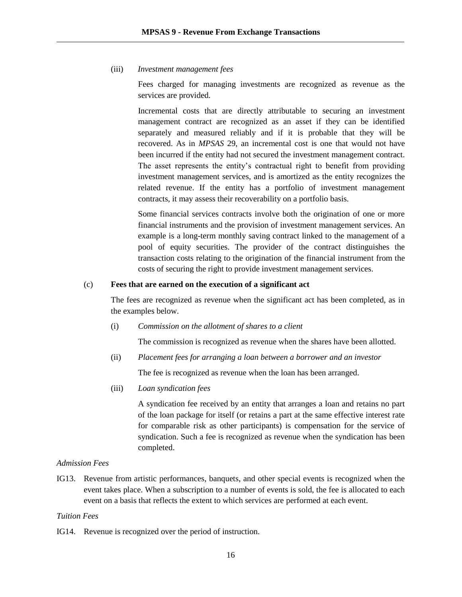#### (iii) *Investment management fees*

Fees charged for managing investments are recognized as revenue as the services are provided.

Incremental costs that are directly attributable to securing an investment management contract are recognized as an asset if they can be identified separately and measured reliably and if it is probable that they will be recovered. As in *MPSAS* 29, an incremental cost is one that would not have been incurred if the entity had not secured the investment management contract. The asset represents the entity's contractual right to benefit from providing investment management services, and is amortized as the entity recognizes the related revenue. If the entity has a portfolio of investment management contracts, it may assess their recoverability on a portfolio basis.

Some financial services contracts involve both the origination of one or more financial instruments and the provision of investment management services. An example is a long-term monthly saving contract linked to the management of a pool of equity securities. The provider of the contract distinguishes the transaction costs relating to the origination of the financial instrument from the costs of securing the right to provide investment management services.

#### (c) **Fees that are earned on the execution of a significant act**

The fees are recognized as revenue when the significant act has been completed, as in the examples below.

(i) *Commission on the allotment of shares to a client* 

The commission is recognized as revenue when the shares have been allotted.

(ii) *Placement fees for arranging a loan between a borrower and an investor*

The fee is recognized as revenue when the loan has been arranged.

(iii) *Loan syndication fees*

A syndication fee received by an entity that arranges a loan and retains no part of the loan package for itself (or retains a part at the same effective interest rate for comparable risk as other participants) is compensation for the service of syndication. Such a fee is recognized as revenue when the syndication has been completed.

#### *Admission Fees*

IG13. Revenue from artistic performances, banquets, and other special events is recognized when the event takes place. When a subscription to a number of events is sold, the fee is allocated to each event on a basis that reflects the extent to which services are performed at each event.

#### *Tuition Fees*

IG14. Revenue is recognized over the period of instruction.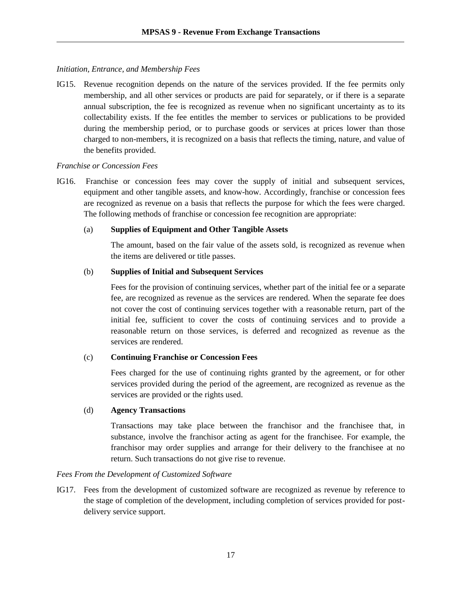#### *Initiation, Entrance, and Membership Fees*

IG15. Revenue recognition depends on the nature of the services provided. If the fee permits only membership, and all other services or products are paid for separately, or if there is a separate annual subscription, the fee is recognized as revenue when no significant uncertainty as to its collectability exists. If the fee entitles the member to services or publications to be provided during the membership period, or to purchase goods or services at prices lower than those charged to non-members, it is recognized on a basis that reflects the timing, nature, and value of the benefits provided.

#### *Franchise or Concession Fees*

IG16. Franchise or concession fees may cover the supply of initial and subsequent services, equipment and other tangible assets, and know-how. Accordingly, franchise or concession fees are recognized as revenue on a basis that reflects the purpose for which the fees were charged. The following methods of franchise or concession fee recognition are appropriate:

#### (a) **Supplies of Equipment and Other Tangible Assets**

The amount, based on the fair value of the assets sold, is recognized as revenue when the items are delivered or title passes.

#### (b) **Supplies of Initial and Subsequent Services**

Fees for the provision of continuing services, whether part of the initial fee or a separate fee, are recognized as revenue as the services are rendered. When the separate fee does not cover the cost of continuing services together with a reasonable return, part of the initial fee, sufficient to cover the costs of continuing services and to provide a reasonable return on those services, is deferred and recognized as revenue as the services are rendered.

#### (c) **Continuing Franchise or Concession Fees**

Fees charged for the use of continuing rights granted by the agreement, or for other services provided during the period of the agreement, are recognized as revenue as the services are provided or the rights used.

#### (d) **Agency Transactions**

Transactions may take place between the franchisor and the franchisee that, in substance, involve the franchisor acting as agent for the franchisee. For example, the franchisor may order supplies and arrange for their delivery to the franchisee at no return. Such transactions do not give rise to revenue.

#### *Fees From the Development of Customized Software*

IG17. Fees from the development of customized software are recognized as revenue by reference to the stage of completion of the development, including completion of services provided for postdelivery service support.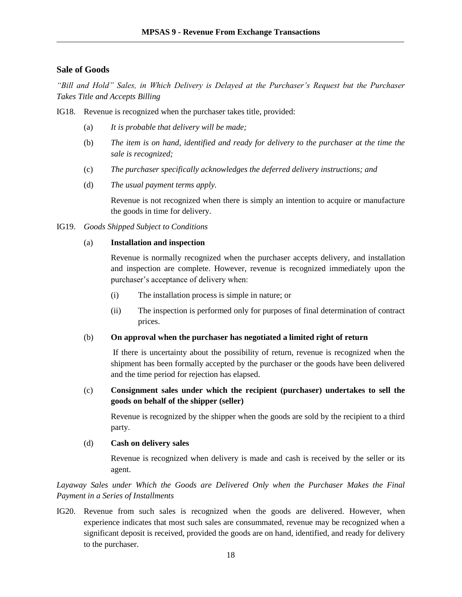#### **Sale of Goods**

*"Bill and Hold" Sales, in Which Delivery is Delayed at the Purchaser's Request but the Purchaser Takes Title and Accepts Billing* 

- IG18. Revenue is recognized when the purchaser takes title, provided:
	- (a) *It is probable that delivery will be made;*
	- (b) *The item is on hand, identified and ready for delivery to the purchaser at the time the sale is recognized;*
	- (c) *The purchaser specifically acknowledges the deferred delivery instructions; and*
	- (d) *The usual payment terms apply.*

Revenue is not recognized when there is simply an intention to acquire or manufacture the goods in time for delivery.

#### IG19. *Goods Shipped Subject to Conditions*

#### (a) **Installation and inspection**

Revenue is normally recognized when the purchaser accepts delivery, and installation and inspection are complete. However, revenue is recognized immediately upon the purchaser's acceptance of delivery when:

- (i) The installation process is simple in nature; or
- (ii) The inspection is performed only for purposes of final determination of contract prices.

#### (b) **On approval when the purchaser has negotiated a limited right of return**

If there is uncertainty about the possibility of return, revenue is recognized when the shipment has been formally accepted by the purchaser or the goods have been delivered and the time period for rejection has elapsed.

#### (c) **Consignment sales under which the recipient (purchaser) undertakes to sell the goods on behalf of the shipper (seller)**

Revenue is recognized by the shipper when the goods are sold by the recipient to a third party.

#### (d) **Cash on delivery sales**

Revenue is recognized when delivery is made and cash is received by the seller or its agent.

*Layaway Sales under Which the Goods are Delivered Only when the Purchaser Makes the Final Payment in a Series of Installments* 

IG20. Revenue from such sales is recognized when the goods are delivered. However, when experience indicates that most such sales are consummated, revenue may be recognized when a significant deposit is received, provided the goods are on hand, identified, and ready for delivery to the purchaser.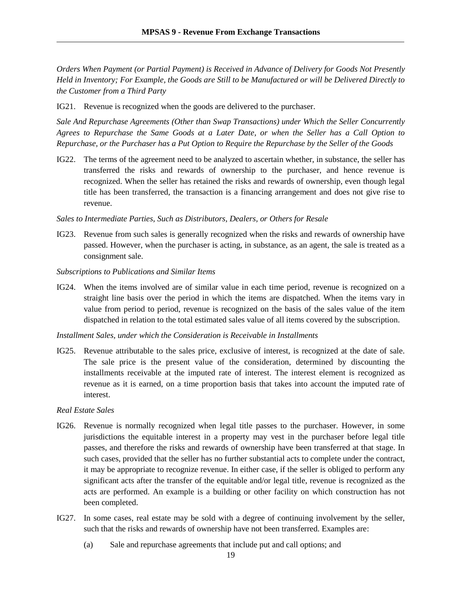*Orders When Payment (or Partial Payment) is Received in Advance of Delivery for Goods Not Presently Held in Inventory; For Example, the Goods are Still to be Manufactured or will be Delivered Directly to the Customer from a Third Party* 

IG21. Revenue is recognized when the goods are delivered to the purchaser.

*Sale And Repurchase Agreements (Other than Swap Transactions) under Which the Seller Concurrently Agrees to Repurchase the Same Goods at a Later Date, or when the Seller has a Call Option to Repurchase, or the Purchaser has a Put Option to Require the Repurchase by the Seller of the Goods* 

IG22. The terms of the agreement need to be analyzed to ascertain whether, in substance, the seller has transferred the risks and rewards of ownership to the purchaser, and hence revenue is recognized. When the seller has retained the risks and rewards of ownership, even though legal title has been transferred, the transaction is a financing arrangement and does not give rise to revenue.

#### *Sales to Intermediate Parties, Such as Distributors, Dealers, or Others for Resale*

IG23. Revenue from such sales is generally recognized when the risks and rewards of ownership have passed. However, when the purchaser is acting, in substance, as an agent, the sale is treated as a consignment sale.

#### *Subscriptions to Publications and Similar Items*

IG24. When the items involved are of similar value in each time period, revenue is recognized on a straight line basis over the period in which the items are dispatched. When the items vary in value from period to period, revenue is recognized on the basis of the sales value of the item dispatched in relation to the total estimated sales value of all items covered by the subscription.

#### *Installment Sales, under which the Consideration is Receivable in Installments*

IG25. Revenue attributable to the sales price, exclusive of interest, is recognized at the date of sale. The sale price is the present value of the consideration, determined by discounting the installments receivable at the imputed rate of interest. The interest element is recognized as revenue as it is earned, on a time proportion basis that takes into account the imputed rate of interest.

#### *Real Estate Sales*

- IG26. Revenue is normally recognized when legal title passes to the purchaser. However, in some jurisdictions the equitable interest in a property may vest in the purchaser before legal title passes, and therefore the risks and rewards of ownership have been transferred at that stage. In such cases, provided that the seller has no further substantial acts to complete under the contract, it may be appropriate to recognize revenue. In either case, if the seller is obliged to perform any significant acts after the transfer of the equitable and/or legal title, revenue is recognized as the acts are performed. An example is a building or other facility on which construction has not been completed.
- IG27. In some cases, real estate may be sold with a degree of continuing involvement by the seller, such that the risks and rewards of ownership have not been transferred. Examples are:
	- (a) Sale and repurchase agreements that include put and call options; and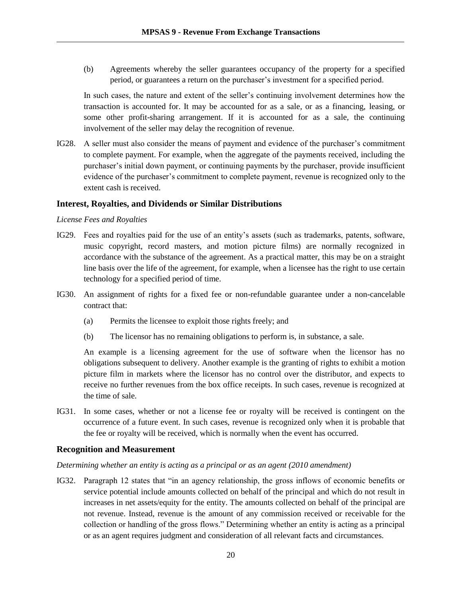(b) Agreements whereby the seller guarantees occupancy of the property for a specified period, or guarantees a return on the purchaser's investment for a specified period.

In such cases, the nature and extent of the seller's continuing involvement determines how the transaction is accounted for. It may be accounted for as a sale, or as a financing, leasing, or some other profit-sharing arrangement. If it is accounted for as a sale, the continuing involvement of the seller may delay the recognition of revenue.

IG28. A seller must also consider the means of payment and evidence of the purchaser's commitment to complete payment. For example, when the aggregate of the payments received, including the purchaser's initial down payment, or continuing payments by the purchaser, provide insufficient evidence of the purchaser's commitment to complete payment, revenue is recognized only to the extent cash is received.

#### **Interest, Royalties, and Dividends or Similar Distributions**

#### *License Fees and Royalties*

- IG29. Fees and royalties paid for the use of an entity's assets (such as trademarks, patents, software, music copyright, record masters, and motion picture films) are normally recognized in accordance with the substance of the agreement. As a practical matter, this may be on a straight line basis over the life of the agreement, for example, when a licensee has the right to use certain technology for a specified period of time.
- IG30. An assignment of rights for a fixed fee or non-refundable guarantee under a non-cancelable contract that:
	- (a) Permits the licensee to exploit those rights freely; and
	- (b) The licensor has no remaining obligations to perform is, in substance, a sale.

An example is a licensing agreement for the use of software when the licensor has no obligations subsequent to delivery. Another example is the granting of rights to exhibit a motion picture film in markets where the licensor has no control over the distributor, and expects to receive no further revenues from the box office receipts. In such cases, revenue is recognized at the time of sale.

IG31. In some cases, whether or not a license fee or royalty will be received is contingent on the occurrence of a future event. In such cases, revenue is recognized only when it is probable that the fee or royalty will be received, which is normally when the event has occurred.

#### **Recognition and Measurement**

*Determining whether an entity is acting as a principal or as an agent (2010 amendment)* 

IG32. Paragraph 12 states that "in an agency relationship, the gross inflows of economic benefits or service potential include amounts collected on behalf of the principal and which do not result in increases in net assets/equity for the entity. The amounts collected on behalf of the principal are not revenue. Instead, revenue is the amount of any commission received or receivable for the collection or handling of the gross flows." Determining whether an entity is acting as a principal or as an agent requires judgment and consideration of all relevant facts and circumstances.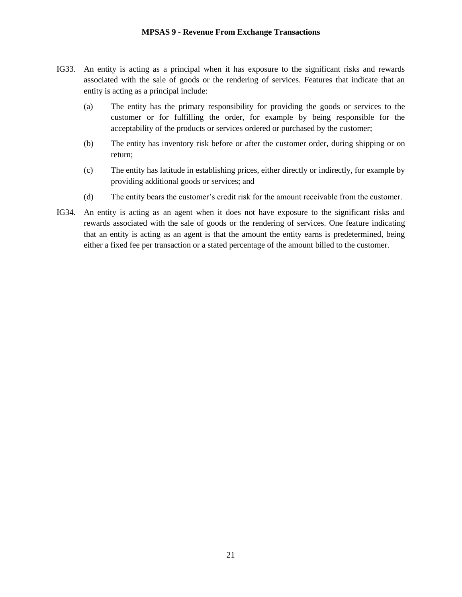- IG33. An entity is acting as a principal when it has exposure to the significant risks and rewards associated with the sale of goods or the rendering of services. Features that indicate that an entity is acting as a principal include:
	- (a) The entity has the primary responsibility for providing the goods or services to the customer or for fulfilling the order, for example by being responsible for the acceptability of the products or services ordered or purchased by the customer;
	- (b) The entity has inventory risk before or after the customer order, during shipping or on return;
	- (c) The entity has latitude in establishing prices, either directly or indirectly, for example by providing additional goods or services; and
	- (d) The entity bears the customer's credit risk for the amount receivable from the customer.
- IG34. An entity is acting as an agent when it does not have exposure to the significant risks and rewards associated with the sale of goods or the rendering of services. One feature indicating that an entity is acting as an agent is that the amount the entity earns is predetermined, being either a fixed fee per transaction or a stated percentage of the amount billed to the customer.